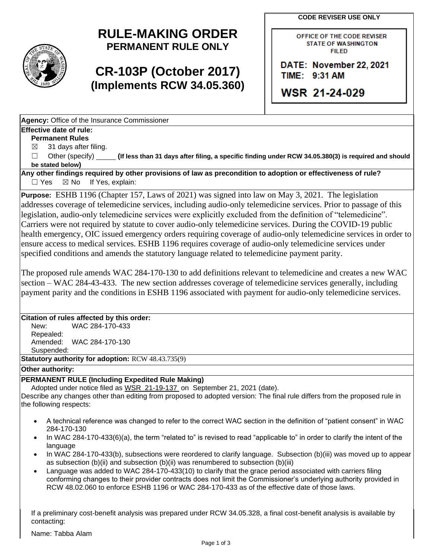**CODE REVISER USE ONLY** 



# **RULE-MAKING ORDER PERMANENT RULE ONLY**

# **CR-103P (October 2017) (Implements RCW 34.05.360)**

OFFICE OF THE CODE REVISER STATE OF WASHINGTON FIILED

DATE: November 22, 2021 TIME: 9:31 AM

WSR 21-24-029

**Agency:** Office of the Insurance Commissioner

### **Effective date of rule:**

**Permanent Rules** 

 $\boxtimes$ ☒ 31 days after filing.

 $\Box$ Other (specify) **(If less than 31 days after filing, a specific finding under RCW 34.05.380(3) is required and should be stated below)** 

 $\Box$  Yes **Any other findings required by other provisions of law as precondition to adoption or effectiveness of rule?**   $\boxtimes$  No If Yes, explain:

**Purpose:** ESHB 1196 (Chapter 157, Laws of 2021) was signed into law on May 3, 2021. The legislation addresses coverage of telemedicine services, including audio-only telemedicine services. Prior to passage of this legislation, audio-only telemedicine services were explicitly excluded from the definition of "telemedicine". Carriers were not required by statute to cover audio-only telemedicine services. During the COVID-19 public health emergency, OIC issued emergency orders requiring coverage of audio-only telemedicine services in order to ensure access to medical services. ESHB 1196 requires coverage of audio-only telemedicine services under specified conditions and amends the statutory language related to telemedicine payment parity.

payment parity and the conditions in ESHB 1196 associated with payment for audio-only telemedicine services. The proposed rule amends WAC 284-170-130 to add definitions relevant to telemedicine and creates a new WAC section – WAC 284-43-433. The new section addresses coverage of telemedicine services generally, including

### **Citation of rules affected by this order:**

New: WAC 284-170-433 Repealed: Amended: WAC 284-170-130 Suspended:

**Statutory authority for adoption:** RCW 48.43.735(9)

### **Other authority:**

### **PERMANENT RULE (Including Expedited Rule Making)**

Adopted under notice filed as WSR 21-19-137 on September 21, 2021 (date).

Describe any changes other than editing from proposed to adopted version: The final rule differs from the proposed rule in the following respects:

- • A technical reference was changed to refer to the correct WAC section in the definition of "patient consent" in WAC 284-170-130
- In WAC 284-170-433(6)(a), the term "related to" is revised to read "applicable to" in order to clarify the intent of the language
- In WAC 284-170-433(b), subsections were reordered to clarify language. Subsection (b)(iii) was moved up to appear as subsection (b)(ii) and subsection (b)(ii) was renumbered to subsection (b)(iii)
- RCW 48.02.060 to enforce ESHB 1196 or WAC 284-170-433 as of the effective date of those laws. • Language was added to WAC 284-170-433(10) to clarify that the grace period associated with carriers filing conforming changes to their provider contracts does not limit the Commissioner's underlying authority provided in

If a preliminary cost-benefit analysis was prepared under RCW 34.05.328, a final cost-benefit analysis is available by contacting:

Name: Tabba Alam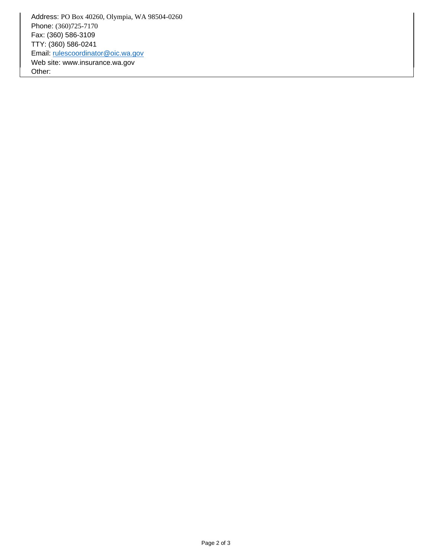Address: PO Box 40260, Olympia, WA 98504 -0260 Phone: (360)725-7170 Fax: (360) 586-3109 TTY: (360) 586-0241 Email: [rulescoordinator@oic.wa.gov](mailto:rulescoordinator@oic.wa.gov)  Web site: <www.insurance.wa.gov> Other: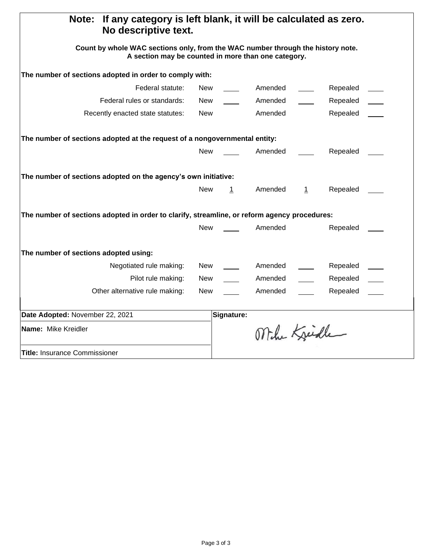| If any category is left blank, it will be calculated as zero.<br>Note:<br>No descriptive text.<br>Count by whole WAC sections only, from the WAC number through the history note.<br>A section may be counted in more than one category. |            |              |              |         |          |  |
|------------------------------------------------------------------------------------------------------------------------------------------------------------------------------------------------------------------------------------------|------------|--------------|--------------|---------|----------|--|
|                                                                                                                                                                                                                                          |            |              |              |         |          |  |
| Federal statute:                                                                                                                                                                                                                         | New        |              | Amended      |         | Repealed |  |
| Federal rules or standards:                                                                                                                                                                                                              | New        |              | Amended      |         | Repealed |  |
| Recently enacted state statutes:                                                                                                                                                                                                         | New        |              | Amended      |         | Repealed |  |
| The number of sections adopted at the request of a nongovernmental entity:                                                                                                                                                               |            |              |              |         |          |  |
|                                                                                                                                                                                                                                          | <b>New</b> |              | Amended      |         | Repealed |  |
| The number of sections adopted on the agency's own initiative:                                                                                                                                                                           |            |              |              |         |          |  |
|                                                                                                                                                                                                                                          | <b>New</b> | $\mathbf{1}$ | Amended      | $\perp$ | Repealed |  |
| The number of sections adopted in order to clarify, streamline, or reform agency procedures:                                                                                                                                             |            |              |              |         |          |  |
|                                                                                                                                                                                                                                          | <b>New</b> |              | Amended      |         | Repealed |  |
| The number of sections adopted using:                                                                                                                                                                                                    |            |              |              |         |          |  |
| Negotiated rule making:                                                                                                                                                                                                                  | New        |              | Amended      |         | Repealed |  |
| Pilot rule making:                                                                                                                                                                                                                       | New        |              | Amended      |         | Repealed |  |
| Other alternative rule making:                                                                                                                                                                                                           | New        |              | Amended      |         | Repealed |  |
| Date Adopted: November 22, 2021                                                                                                                                                                                                          |            | Signature:   |              |         |          |  |
| Name: Mike Kreidler                                                                                                                                                                                                                      |            |              | Mihe Kreidle |         |          |  |
| Title: Insurance Commissioner                                                                                                                                                                                                            |            |              |              |         |          |  |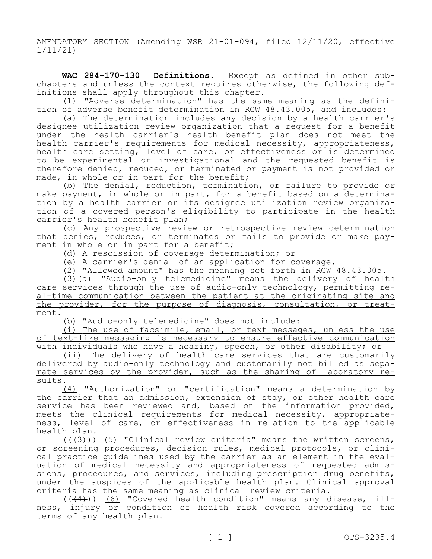AMENDATORY SECTION (Amending WSR 21-01-094, filed 12/11/20, effective 1/11/21)

 **WAC 284-170-130 Definitions.** Except as defined in other subchapters and unless the context requires otherwise, the following def-<br>initions shall apply throughout this chapter.<br>(1) "Adverse determination" has the same meaning as the defini-

tion of adverse benefit determination in RCW 48.43.005, and includes:

(a) The determination includes any decision by a health carrier's designee utilization review organization that a request for a benefit under the health carrier's health benefit plan does not meet the health carrier's requirements for medical necessity, appropriateness, health care setting, level of care, or effectiveness or is determined to be experimental or investigational and the requested benefit is therefore denied, reduced, or terminated or payment is not provided or made, in whole or in part for the benefit;

(b) The denial, reduction, termination, or failure to provide or make payment, in whole or in part, for a benefit based on a determina-<br>tion by a health carrier or its designee utilization review organiza-<br>tion of a covered person's eligibility to participate in the health carrier's health benefit plan;

(c) Any prospective review or retrospective review determination that denies, reduces, or terminates or fails to provide or make pay-<br>ment in whole or in part for a benefit;

(d) A rescission of coverage determination; or

(e) A carrier's denial of an application for coverage.

(2) "Allowed amount" has the meaning set forth in RCW 48.43.005.

(3)(a) "Audio-only telemedicine" means the delivery of health care services through the use of audio-only technology, permitting real-time communication between the patient at the originating site and the provider, for the purpose of diagnosis, consultation, or treat-<br>ment.

(b) "Audio-only telemedicine" does not include:

(i) The use of facsimile, email, or text messages, unless the use of text-like messaging is necessary to ensure effective communication with individuals who have a hearing, speech, or other disability; or

(ii) The delivery of health care services that are customarily<br>delivered by audio-only technology and customarily not billed as separate services by the provider, such as the sharing of laboratory re- sults.

(4) "Authorization" or "certification" means a determination by the carrier that an admission, extension of stay, or other health care service has been reviewed and, based on the information provided, meets the clinical requirements for medical necessity, appropriate-<br>ness, level of care, or effectiveness in relation to the applicable health plan.

 $((+3))$  (5) "Clinical review criteria" means the written screens, or screening procedures, decision rules, medical protocols, or clinical practice guidelines used by the carrier as an element in the evaluation of medical necessity and appropriateness of requested admissions, procedures, and services, including prescription drug benefits, under the auspices of the applicable health plan. Clinical approval criteria has the same meaning as clinical review criteria.

 $((+4))$  <u>(6)</u> "Covered ness, injury or condition terms of any health plan. health of cond health ition" risk means any disease, covered according to illthe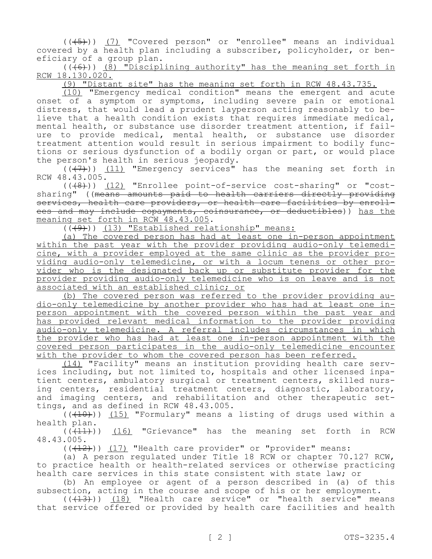$((+5))$  (7) "Covered person" or "enrollee" means an individual covered by a health plan including a subscriber, policyholder, or ben-<br>eficiary of a group plan.

 $((+6))$  (8) "Disciplining authority" has the meaning set forth in RCW 18.130.020.

(9) "Distant site" has the meaning set forth in RCW 48.43.735.

(10) "Emergency medical condition" means the emergent and acute onset of a symptom or symptoms, including severe pain or emotional<br>distress, that would lead a prudent lavperson acting reasonably to believe that a health condition exists that requires immediate medical, mental health, or substance use disorder treatment attention, if failure to provide medical, mental health, or substance use disorder<br>treatment attention would result in serious impairment to bodily functions or serious dysfunction of a bodily organ or part, or would place the person's health in serious jeopardy.

 $((+7))$  (11) "Emergency services" has the meaning set forth in RCW 48.43.005.

(((8))) (12) "Enrollee point-of-service cost-sharing" or "costmeaning set forth in RCW 48.43.005.<br>((<del>(9)</del>)) <u>(13) "Established relationship" means:</u> sharing" ((means amounts paid to health carriers directly providing<br>services, health care providers, or health care facilities by enrollees and may include copayments, coinsurance, or deductibles)) has the meaning set forth in RCW 48.43.005.

(a) The covered person has had at least one in-person appointment<br>within the past year with the provider providing audio-only telemedicine, with a provider employed at the same clinic as the provider pro-<br>viding audio-only telemedicine, or with a locum tenens or other pro-<br>vider who is the designated back up or substitute provider for the provider providing audio-only telemedicine who is on leave and is not associated with an established clinic; or<br>(b) The covered person was referred to the provider providing au-

dio-only telemedicine by another provider who has had at least one inperson appointment with the covered person within the past year and has provided relevant medical information to the provider providing audio-only telemedicine. A referral includes circumstances in which the provider who has had at least one in-person appointment with the covered person participates in the audio-only telemedicine encounter with the provider to whom the covered person has been referred.<br>(14) "Facility" means an institution providing health care serv-

ices including, but not limited to, hospitals and other licensed inpa-<br>tient centers, ambulatory surgical or treatment centers, skilled nurs-<br>ing centers, residential treatment centers, diagnostic, laboratory, and imaging centers, and rehabilitation and other therapeutic set-<br>tings, and as defined in RCW 48.43.005.

 $((+10))$   $(15)$  "Formulary" means a listing of drugs used within a health plan.

 $((+11))$   $(16)$  "Grievance" has the meaning set forth in RCW 48.43.005.

 $((+12))$  (17) "Health care provider" or "provider" means:

(a) A person regulated under Title 18 RCW or chapter 70.127 RCW, to practice health or health-related services or otherwise practicing health care services in this state consistent with state law; or

(b) An employee or agent of a person described in (a) of this subsection, acting in the course and scope of his or her employment.

 $((+13))$   $(18)$  "Health care service" or "health service" means that service offered or provided by health care facilities and health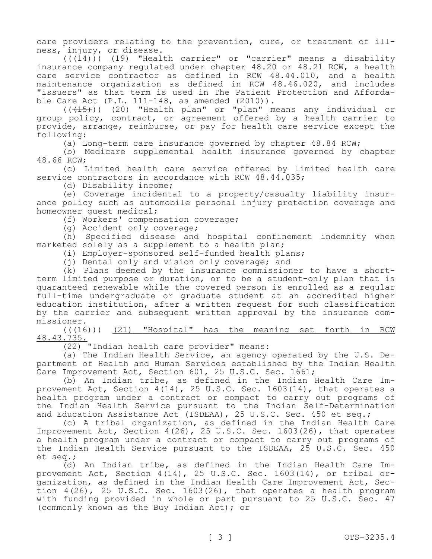care providers relating to the prevention, cure, or treatment of ill-<br>ness, injury, or disease.

 $((+14))$   $(19)$  "Health carrier" or "carrier" means a disability insurance company regulated under chapter 48.20 or 48.21 RCW, a health care service contractor as defined in RCW 48.44.010, and a health maintenance organization as defined in RCW 48.46.020, and includes "issuers" as that term is used in The Patient Protection and Afforda-<br>ble Care Act (P.L. 111-148, as amended (2010)).

 $((+15))$   $(20)$  "Health plan" or "plan" means any individual or group policy, contract, or agreement offered by a health carrier to provide, arrange, reimburse, or pay for health care service except the following:

(a) Long-term care insurance governed by chapter 48.84 RCW;

(b) Medicare supplemental health insurance governed by chapter 48.66 RCW;

(c) Limited health care service offered by limited health care service contractors in accordance with RCW 48.44.035;

(d) Disability income;

(e) Coverage incidental to a property/casualty liability insur- ance policy such as automobile personal injury protection coverage and homeowner guest medical;

(f) Workers' compensation coverage;

(g) Accident only coverage;

(h) Specified disease and hospital confinement indemnity when marketed solely as a supplement to a health plan;

(i) Employer-sponsored self-funded health plans;

(j) Dental only and vision only coverage; and

(k) Plans deemed by the insurance commissioner to have a shortterm limited purpose or duration, or to be a student-only plan that is guaranteed renewable while the covered person is enrolled as a regular full-time undergraduate or graduate student at an accredited higher education institution, after a written request for such classification by the carrier and subsequent written approval by the insurance com- missioner.

(((16))) (21) "Hospital" has the meaning set forth in RCW 48.43.735.

(22) "Indian health care provider" means:<br>(a) The Indian Health Service, an agency operated by the U.S. Department of Health and Human Services established by the Indian Health Care Improvement Act, Section 601, 25 U.S.C. Sec. 1661;<br>(b) An Indian tribe, as defined in the Indian Health Care Im-

provement Act, Section  $4(14)$ , 25 U.S.C. Sec. 1603(14), that operates a health program under a contract or compact to carry out programs of the Indian Health Service pursuant to the Indian Self-Determination and Education Assistance Act (ISDEAA), 25 U.S.C. Sec. 450 et seq.;

(c) A tribal organization, as defined in the Indian Health Care Improvement Act, Section 4(26), 25 U.S.C. Sec. 1603(26), that operates a health program under a contract or compact to carry out programs of the Indian Health Service pursuant to the ISDEAA, 25 U.S.C. Sec. 450 et seq.;

(d) An Indian tribe, as defined in the Indian Health Care Improvement Act, Section 4(14), 25 U.S.C. Sec. 1603(14), or tribal or-.<br>ganization, as defined in the Indian Health Care Improvement Act, Section  $4(26)$ , 25 U.S.C. Sec. 1603(26), that operates a health program with funding provided in whole or part pursuant to 25 U.S.C. Sec. 47 (commonly known as the Buy Indian Act); or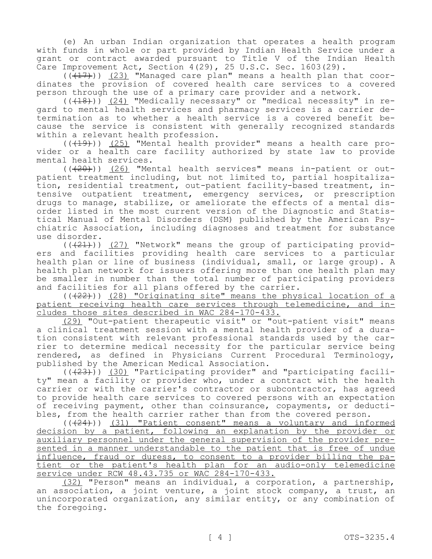(e) An urban Indian organization that operates a health program with funds in whole or part provided by Indian Health Service under a grant or contract awarded pursuant to Title V of the Indian Health Care Improvement Act, Section 4(29), 25 U.S.C. Sec. 1603(29).

 $(\overline{(+17)})$  (23) "Managed care plan" means a health plan that coordinates the provision of covered health care services to a covered person through the use of a primary care provider and a network.

gard to mental health services and pharmacy services is a carrier de-<br>termination as to whether a health service is a covered benefit be-<br>cause the service is consistent with generally recognized standards within a relevant health profession.

 $((+19))$  (25) "Mental health provider" means a health care provider or a health care facility authorized by state law to provide mental health services.

 $((+20))$  (26) "Mental health services" means in-patient or outpatient treatment including, but not limited to, partial hospitaliza-<br>tion, residential treatment, out-patient facility-based treatment, in-<br>tensive outpatient treatment, emergency services, or prescription<br>drugs to manage order listed in the most current version of the Diagnostic and Statis-<br>tical Manual of Mental Disorders (DSM) published by the American Psy-<br>chiatric Association, including diagnoses and treatment for substance use disorder.

 $((+21))$  (27) "Network" means the group of participating providers and facilities providing health care services to a particular health plan or line of business (individual, small, or large group). A health plan network for issuers offering more than one health plan may be smaller in number than the total number of participating providers and facilities for all plans offered by the carrier.

(( $(22)$ )) (28) "Originating site" means the physical location of a patient receiving health care services through telemedicine, and in-<br>cludes those sites described in WAC 284-170-433.

(29) "Out-patient therapeutic visit" or "out-patient visit" means<br>a clinical treatment session with a mental health provider of a duration consistent with relevant professional standards used by the car-<br>rier to determine medical necessity for the particular service being rendered, as defined in Physicians Current Procedural Terminology, published by the American Medical Association.

 $((+23)^{\circ})$  (30) "Participating provider" and "participating facility" mean a facility or provider who, under a contract with the health carrier or with the carrier's contractor or subcontractor, has agreed to provide health care services to covered persons with an expectation of receiving payment, other than coinsurance, copayments, or deducti-<br>bles, from the health carrier rather than from the covered person.

 (((24))) (31) "Patient consent" means a voluntary and informed decision by a patient, following an explanation by the provider or auxiliary personnel under the general supervision of the provider presented in a manner understandable to the patient that is free of undue influence, fraud or duress, to consent to a provider billing the patient or the patient's health plan for an audio-only telemedicine service under RCW 48.43.735 or WAC 284-170-433.

(32) "Person" means an individual, a corporation, a partnership, an association, a joint venture, a joint stock company, a trust, an unincorporated organization, any similar entity, or any combination of the foregoing.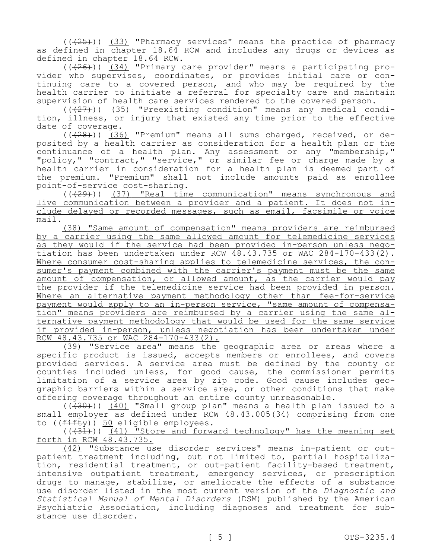$((+25))$   $(33)$  "Pharmacy services" means the practice of pharmacy as defined in chapter 18.64 RCW and includes any drugs or devices as defined in chapter 18.64 RCW.

 (((26))) (34) "Primary care provider" means a participating pro- vider who supervises, coordinates, or provides initial care or con- tinuing care to a covered person, and who may be required by the health carrier to initiate a referral for specialty care and maintain supervision of health care services rendered to the covered person.

 $((+27))$   $(35)$  "Preexisting condition" means any medical condition, illness, or injury that existed any time prior to the effective date of coverage.

(((28))) (36) "Premium" means all sums charged, received, or deposited by a health carrier as consideration for a health plan or the continuance of a health plan. Any assessment or any "membership," "policy," "contract," "service," or similar fee or charge made by a health carrier in consideration for a health plan is deemed part of the premium. "Premium" shall not include amounts paid as enrollee point-of-service cost-sharing.

(((29))) (37) "Real time communication" means synchronous and live communication between a provider and a patient. It does not in- clude delayed or recorded messages, such as email, facsimile or voice mail.

(38) "Same amount of compensation" means providers are reimbursed by a carrier using the same allowed amount for telemedicine services<br>as they would if the service had been provided in-person unless negotiation has been undertaken under RCW 48.43.735 or WAC 284-170-433(2).<br>Where consumer cost-sharing applies to telemedicine services, the consumer's payment combined with the carrier's payment must be the same amount of compensation, or allowed amount, as the carrier would pay the provider if the telemedicine service had been provided in person. Where an alternative payment methodology other than fee-for-service payment would apply to an in-person service, "same amount of compensa-<br>tion" means providers are reimbursed by a carrier using the same al-<br>ternative payment methodology that would be used for the same service if provided in-person, unless negotiation has been undertaken under RCW 48.43.735 or WAC 284-170-433(2).

(39) "Service area" means the geographic area or areas where a specific product is issued, accepts members or enrollees, and covers provided services. A service area must be defined by the county or counties included unless, for good cause, the commissioner permits limitation of a service area by zip code. Good cause includes geo-<br>graphic barriers within a service area, or other conditions that make offering coverage throughout an entire county unreasonable.

 $((+30))$   $(40)$  "Small group plan" means a health plan issued to a to ((fifty)) 50 eligible employees. small employer as defined under RCW 48.43.005(34) comprising from one

(( $+31$ ))) (41) "Store and forward technology" has the meaning set forth in RCW  $48.43.735$ .

 *Statistical Manual of Mental Disorders* (DSM) published by the American (42) "Substance use disorder services" means in-patient or outpatient treatment including, but not limited to, partial hospitalization, residential treatment, or out-patient facility-based treatment, intensive outpatient treatment, emergency services, or prescription drugs to manage, stabilize, or ameliorate the effects of a substance use disorder listed in the most current version of the *Diagnostic and*  Psychiatric Association, including diagnoses and treatment for sub-<br>stance use disorder.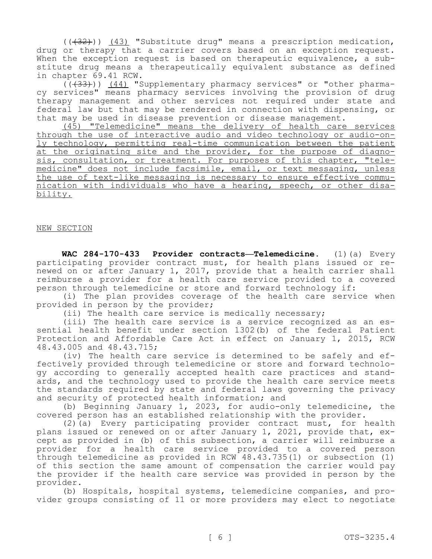$((+32))$   $(43)$  "Substitute drug" means a prescription medication, drug or therapy that a carrier covers based on an exception request.<br>When the exception request is based on therapeutic equivalence, a substitute drug means a therapeutically equivalent substance as defined in chapter 69.41 RCW.

(((33))) (44) "Supplementary pharmacy services" or "other pharmacy services" means pharmacy services involving the provision of drug therapy management and other services not required under state and federal law but that may be rendered in connection with dispensing, or that may be used in disease prevention or disease management.

(45) "Telemedicine" means the delivery of health care services through the use of interactive audio and video technology or audio-on-<br>ly technology, permitting real-time communication between the patient<br>at the originating site and the provider, for the purpose of diagnosis, consultation, or treatment. For purposes of this chapter, "tele-<br>medicine" does not include facsimile, email, or text messaging, unless the use of text-like messaging is necessary to ensure effective commu-<br>nication with individuals who have a hearing, speech, or other disa-<br>bility.

#### NEW SECTION

 **WAC 284-170-433 Provider contracts—Telemedicine.** (1)(a) Every participating provider contract must, for health plans issued or renewed on or after January 1, 2017, provide that a health carrier shall reimburse a provider for a health care service provided to a covered person through telemedicine or store and forward technology if:

(i) The plan provides coverage of the health care service when provided in person by the provider;

(ii) The health care service is medically necessary;

(iii) The health care service is a service recognized as an es- sential health benefit under section 1302(b) of the federal Patient Protection and Affordable Care Act in effect on January 1, 2015, RCW 48.43.005 and 48.43.715;

(iv) The health care service is determined to be safely and ef-<br>fectively provided through telemedicine or store and forward technolo-<br>gy according to generally accepted health care practices and stand-<br>ards, and the techn the standards required by state and federal laws governing the privacy and security of protected health information; and

(b) Beginning January 1, 2023, for audio-only telemedicine, the covered person has an established relationship with the provider.

(2)(a) Every participating provider contract must, for health plans issued or renewed on or after January 1, 2021, provide that, except as provided in (b) of this subsection, a carrier will reimburse a provider for a health care service provided to a covered person through telemedicine as provided in RCW 48.43.735(1) or subsection (1) of this section the same amount of compensation the carrier would pay the provider if the health care service was provided in person by the provider.

(b) Hospitals, hospital systems, telemedicine companies, and provider groups consisting of 11 or more providers may elect to negotiate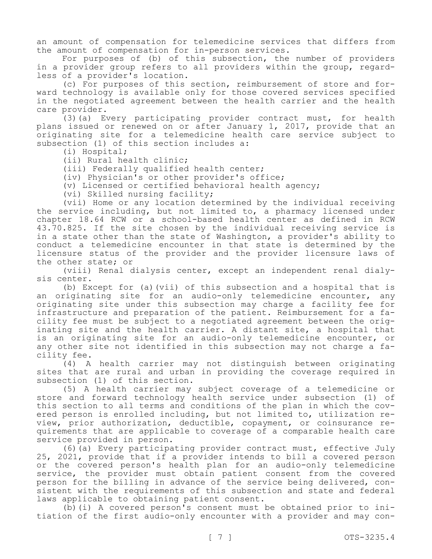an amount of compensation for telemedicine services that differs from the amount of compensation for in-person services.

For purposes of (b) of this subsection, the number of providers in a provider group refers to all providers within the group, regard-<br>less of a provider's location.<br>(c) For purposes of this section, reimbursement of store and for-

ward technology is available only for those covered services specified in the negotiated agreement between the health carrier and the health care provider.

(3)(a) Every participating provider contract must, for health plans issued or renewed on or after January 1, 2017, provide that an originating site for a telemedicine health care service subject to subsection (1) of this section includes a:

(i) Hospital;

(ii) Rural health clinic;

(iii) Federally qualified health center;

(iv) Physician's or other provider's office;

(v) Licensed or certified behavioral health agency;

(vi) Skilled nursing facility;

(vii) Home or any location determined by the individual receiving the service including, but not limited to, a pharmacy licensed under chapter 18.64 RCW or a school-based health center as defined in RCW 43.70.825. If the site chosen by the individual receiving service is in a state other than the state of Washington, a provider's ability to conduct a telemedicine encounter in that state is determined by the licensure status of the provider and the provider licensure laws of the other state; or

(viii) Renal dialysis center, except an independent renal dialy- sis center.

(b) Except for (a)(vii) of this subsection and a hospital that is an originating site for an audio-only telemedicine encounter, any originating site under this subsection may charge a facility fee for<br>infrastructure and preparation of the patient. Reimbursement for a facility fee must be subject to a negotiated agreement between the orig-<br>inating site and the health carrier. A distant site, a hospital that is an originating site for an audio-only telemedicine encounter, or any other site not identified in this subsection may not charge a fa-<br>cility fee.

(4) A health carrier may not distinguish between originating sites that are rural and urban in providing the coverage required in subsection (1) of this section.

(5) A health carrier may subject coverage of a telemedicine or store and forward technology health service under subsection (1) of this section to all terms and conditions of the plan in which the cov-<br>ered person is enrolled including, but not limited to, utilization re-<br>view, prior authorization, deductible, copayment, or coinsurance requirements that are applicable to coverage of a comparable health care service provided in person.

(6)(a) Every participating provider contract must, effective July 25, 2021, provide that if a provider intends to bill a covered person or the covered person's health plan for an audio-only telemedicine service, the provider must obtain patient consent from the covered person for the billing in advance of the service being delivered, consistent with the requirements of this subsection and state and federal

laws applicable to obtaining patient consent.<br>(b)(i) A covered person's consent must be obtained prior to initiation of the first audio-only encounter with a provider and may con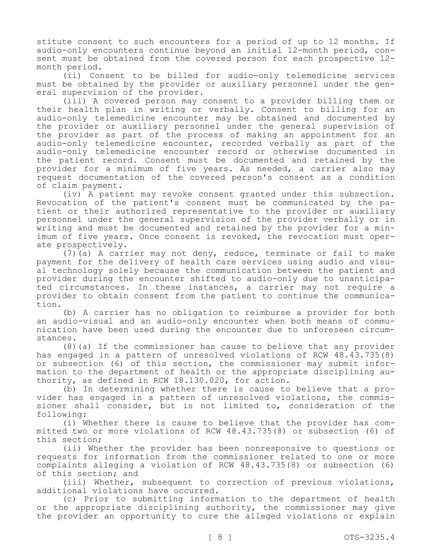stitute consent to such encounters for a period of up to 12 months. If audio-only encounters continue beyond an initial 12-month period, consent must be obtained from the covered person for each prospective 12 month period.

(ii) Consent to be billed for audio-only telemedicine services must be obtained by the provider or auxiliary personnel under the general supervision of the provider.

(iii) A covered person may consent to a provider billing them or their health plan in writing or verbally. Consent to billing for an audio-only telemedicine encounter may be obtained and documented by the provider or auxiliary personnel under the general supervision of the provider as part of the process of making an appointment for an audio-only telemedicine encounter, recorded verbally as part of the audio-only telemedicine encounter record or otherwise documented in the patient record. Consent must be documented and retained by the provider for a minimum of five years. As needed, a carrier also may request documentation of the covered person's consent as a condition of claim payment.

(iv) A patient may revoke consent granted under this subsection. Revocation of the patient's consent must be communicated by the patient or their authorized representative to the provider or auxiliary personnel under the general supervision of the provider verbally or in writing and must be documented and retained by the provider for a minimum of five years. Once consent is revoked, the revocation must operate prospectively.

(7)(a) A carrier may not deny, reduce, terminate or fail to make payment for the delivery of health care services using audio and visual technology solely because the communication between the patient and provider during the encounter shifted to audio-only due to unanticipated circumstances. In these instances, a carrier may not require a provider to obtain consent from the patient to continue the communication.

(b) A carrier has no obligation to reimburse a provider for both an audio-visual and an audio-only encounter when both means of communication have been used during the encounter due to unforeseen circumstances.

(8)(a) If the commissioner has cause to believe that any provider has engaged in a pattern of unresolved violations of RCW 48.43.735(8) or subsection (6) of this section, the commissioner may submit information to the department of health or the appropriate disciplining authority, as defined in RCW 18.130.020, for action.

(b) In determining whether there is cause to believe that a provider has engaged in a pattern of unresolved violations, the commissioner shall consider, but is not limited to, consideration of the following:<br>(i) Whether there is cause to believe that the provider has com-

mitted two or more violations of RCW 48.43.735(8) or subsection (6) of this section;

(ii) Whether the provider has been nonresponsive to questions or requests for information from the commissioner related to one or more complaints alleging a violation of RCW 48.43.735(8) or subsection (6) of this section; and

(iii) Whether, subsequent to correction of previous violations, additional violations have occurred.

(c) Prior to submitting information to the department of health or the appropriate disciplining authority, the commissioner may give the provider an opportunity to cure the alleged violations or explain